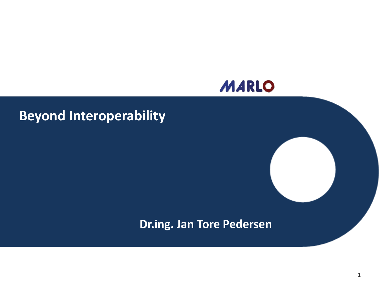

#### **Beyond Interoperability**

#### **Dr.ing. Jan Tore Pedersen**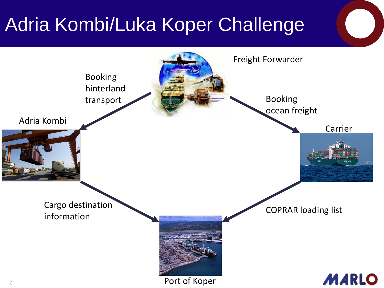# Adria Kombi/Luka Koper Challenge

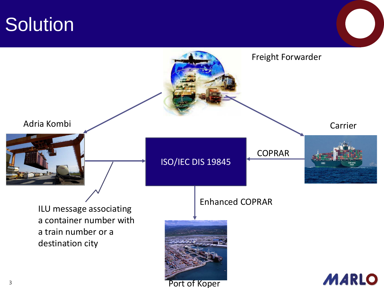### **Solution**

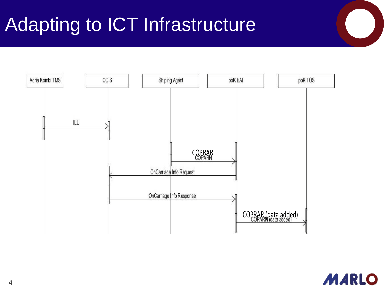# Adapting to ICT Infrastructure



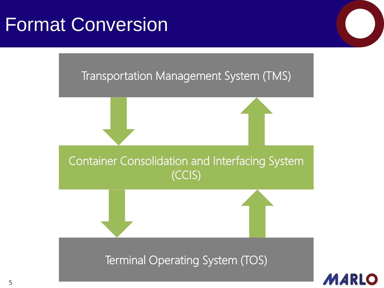### Format Conversion

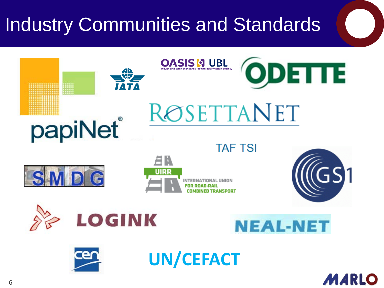# Industry Communities and Standards



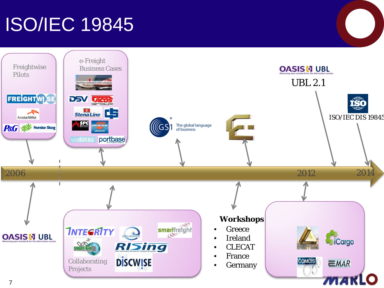# ISO/IEC 19845

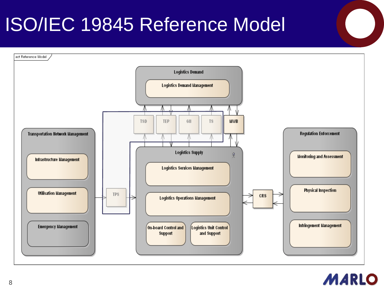# ISO/IEC 19845 Reference Model



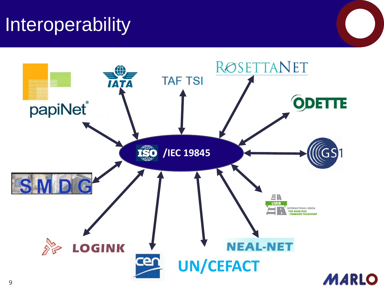### Interoperability

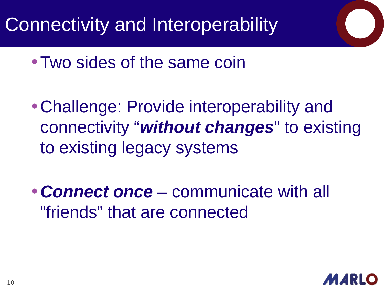Connectivity and Interoperability

- Two sides of the same coin
- Challenge: Provide interoperability and connectivity "*without changes*" to existing to existing legacy systems
- *Connect once*  communicate with all "friends" that are connected

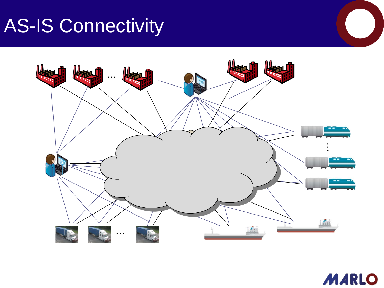# AS-IS Connectivity



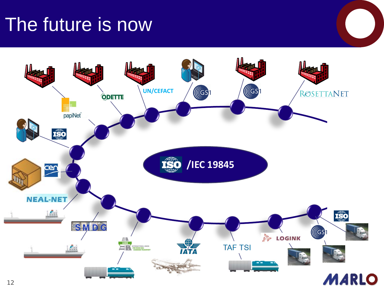#### The future is now

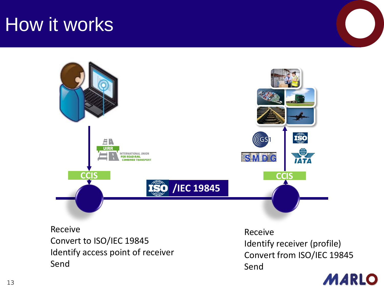#### How it works



Receive Convert to ISO/IEC 19845 Identify access point of receiver Send

Receive Identify receiver (profile) Convert from ISO/IEC 19845 Send

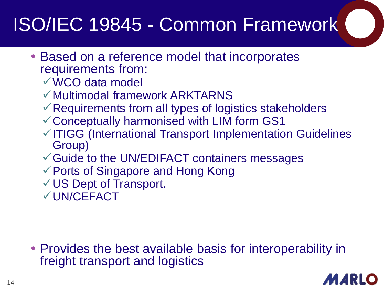### ISO/IEC 19845 - Common Framework

- Based on a reference model that incorporates requirements from:
	- WCO data model
	- $\checkmark$  Multimodal framework ARKTARNS
	- $\checkmark$  Requirements from all types of logistics stakeholders
	- Conceptually harmonised with LIM form GS1
	- $\checkmark$  ITIGG (International Transport Implementation Guidelines Group)
	- $\checkmark$  Guide to the UN/EDIFACT containers messages
	- Ports of Singapore and Hong Kong
	- US Dept of Transport.

UN/CEFACT

• Provides the best available basis for interoperability in freight transport and logistics